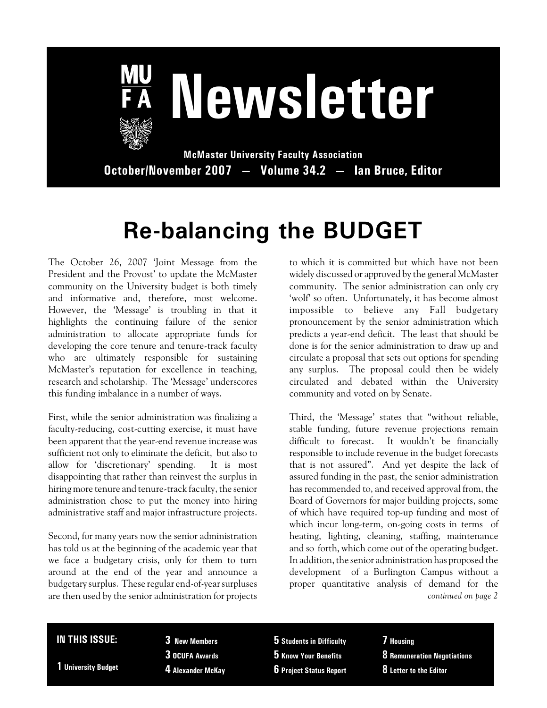

# **Newsletter**

**McMaster University Faculty Association October/November 2007 — Volume 34.2 — Ian Bruce, Editor**

## **Re-balancing the BUDGET**

The October 26, 2007 'Joint Message from the President and the Provost' to update the McMaster community on the University budget is both timely and informative and, therefore, most welcome. However, the 'Message' is troubling in that it highlights the continuing failure of the senior administration to allocate appropriate funds for developing the core tenure and tenure-track faculty who are ultimately responsible for sustaining McMaster's reputation for excellence in teaching, research and scholarship. The 'Message' underscores this funding imbalance in a number of ways.

First, while the senior administration was finalizing a faculty-reducing, cost-cutting exercise, it must have been apparent that the year-end revenue increase was sufficient not only to eliminate the deficit, but also to allow for 'discretionary' spending. It is most disappointing that rather than reinvest the surplus in hiring more tenure and tenure-track faculty, the senior administration chose to put the money into hiring administrative staff and major infrastructure projects.

Second, for many years now the senior administration has told us at the beginning of the academic year that we face a budgetary crisis, only for them to turn around at the end of the year and announce a budgetary surplus. These regular end-of-year surpluses are then used by the senior administration for projects

to which it is committed but which have not been widely discussed or approved by the general McMaster community. The senior administration can only cry 'wolf' so often. Unfortunately, it has become almost impossible to believe any Fall budgetary pronouncement by the senior administration which predicts a year-end deficit. The least that should be done is for the senior administration to draw up and circulate a proposal that sets out options for spending any surplus. The proposal could then be widely circulated and debated within the University community and voted on by Senate.

Third, the 'Message' states that "without reliable, stable funding, future revenue projections remain difficult to forecast. It wouldn't be financially responsible to include revenue in the budget forecasts that is not assured". And yet despite the lack of assured funding in the past, the senior administration has recommended to, and received approval from, the Board of Governors for major building projects, some of which have required top-up funding and most of which incur long-term, on-going costs in terms of heating, lighting, cleaning, staffing, maintenance and so forth, which come out of the operating budget. In addition, the senior administration has proposed the development of a Burlington Campus without a proper quantitative analysis of demand for the *continued on page 2*

#### **IN THIS ISSUE:**

**1 University Budget**

**3 New Members 3 OCUFA Awards 4 Alexander McKay**

**5 Students in Difficulty 5 Know Your Benefits 6 Project Status Report** **7 Housing 8 Remuneration Negotiations 8 Letter to the Editor**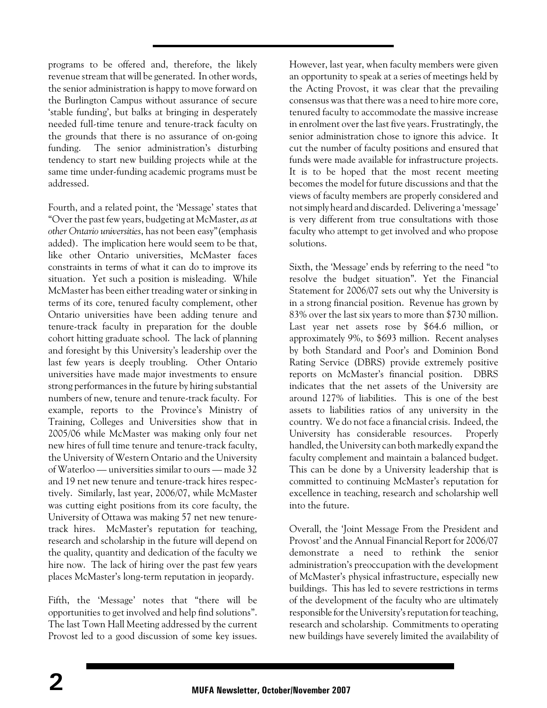programs to be offered and, therefore, the likely revenue stream that will be generated. In other words, the senior administration is happy to move forward on the Burlington Campus without assurance of secure 'stable funding', but balks at bringing in desperately needed full-time tenure and tenure-track faculty on the grounds that there is no assurance of on-going funding. The senior administration's disturbing tendency to start new building projects while at the same time under-funding academic programs must be addressed.

Fourth, and a related point, the 'Message' states that "Over the past few years, budgeting at McMaster, *as at other Ontario universities*, has not been easy"(emphasis added). The implication here would seem to be that, like other Ontario universities, McMaster faces constraints in terms of what it can do to improve its situation. Yet such a position is misleading. While McMaster has been either treading water or sinking in terms of its core, tenured faculty complement, other Ontario universities have been adding tenure and tenure-track faculty in preparation for the double cohort hitting graduate school. The lack of planning and foresight by this University's leadership over the last few years is deeply troubling. Other Ontario universities have made major investments to ensure strong performances in the future by hiring substantial numbers of new, tenure and tenure-track faculty. For example, reports to the Province's Ministry of Training, Colleges and Universities show that in 2005/06 while McMaster was making only four net new hires of full time tenure and tenure-track faculty, the University of Western Ontario and the University of Waterloo — universities similar to ours — made 32 and 19 net new tenure and tenure-track hires respectively. Similarly, last year, 2006/07, while McMaster was cutting eight positions from its core faculty, the University of Ottawa was making 57 net new tenuretrack hires. McMaster's reputation for teaching, research and scholarship in the future will depend on the quality, quantity and dedication of the faculty we hire now. The lack of hiring over the past few years places McMaster's long-term reputation in jeopardy.

Fifth, the 'Message' notes that "there will be opportunities to get involved and help find solutions". The last Town Hall Meeting addressed by the current Provost led to a good discussion of some key issues. However, last year, when faculty members were given an opportunity to speak at a series of meetings held by the Acting Provost, it was clear that the prevailing consensus was that there was a need to hire more core, tenured faculty to accommodate the massive increase in enrolment over the last five years. Frustratingly, the senior administration chose to ignore this advice. It cut the number of faculty positions and ensured that funds were made available for infrastructure projects. It is to be hoped that the most recent meeting becomes the model for future discussions and that the views of faculty members are properly considered and notsimply heard and discarded. Delivering a 'message' is very different from true consultations with those faculty who attempt to get involved and who propose solutions.

Sixth, the 'Message' ends by referring to the need "to resolve the budget situation". Yet the Financial Statement for 2006/07 sets out why the University is in a strong financial position. Revenue has grown by 83% over the last six years to more than \$730 million. Last year net assets rose by \$64.6 million, or approximately 9%, to \$693 million. Recent analyses by both Standard and Poor's and Dominion Bond Rating Service (DBRS) provide extremely positive reports on McMaster's financial position. DBRS indicates that the net assets of the University are around 127% of liabilities. This is one of the best assets to liabilities ratios of any university in the country. We do not face a financial crisis. Indeed, the University has considerable resources. Properly handled, the University can both markedly expand the faculty complement and maintain a balanced budget. This can be done by a University leadership that is committed to continuing McMaster's reputation for excellence in teaching, research and scholarship well into the future.

Overall, the 'Joint Message From the President and Provost' and the Annual Financial Report for 2006/07 demonstrate a need to rethink the senior administration's preoccupation with the development of McMaster's physical infrastructure, especially new buildings. This has led to severe restrictions in terms of the development of the faculty who are ultimately responsible for the University's reputation for teaching, research and scholarship. Commitments to operating new buildings have severely limited the availability of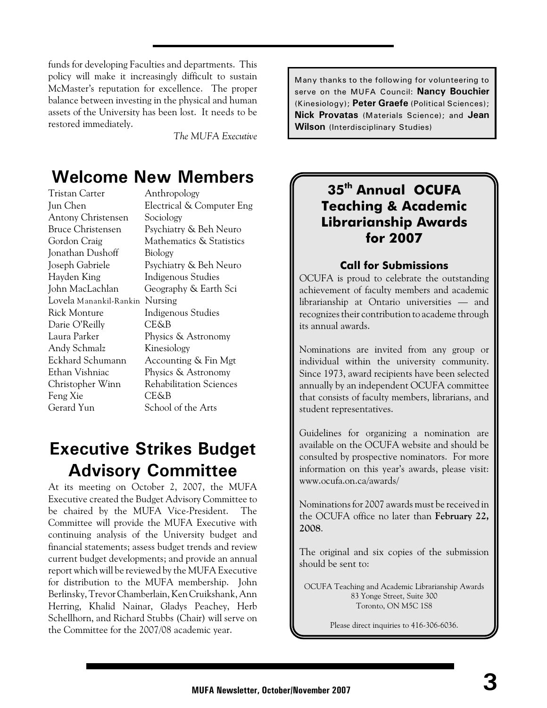funds for developing Faculties and departments. This policy will make it increasingly difficult to sustain McMaster's reputation for excellence. The proper balance between investing in the physical and human assets of the University has been lost. It needs to be restored immediately.

*The MUFA Executive*

## **Welcome New Members**

Tristan Carter Anthropology Jun Chen Electrical & Computer Eng Antony Christensen Sociology Bruce Christensen Psychiatry & Beh Neuro Gordon Craig Mathematics & Statistics Jonathan Dushoff Biology Joseph Gabriele Psychiatry & Beh Neuro Hayden King Indigenous Studies John MacLachlan Geography & Earth Sci Lovela Manankil-Rankin Nursing Rick Monture Indigenous Studies Darie O'Reilly CE&B Laura Parker Physics & Astronomy Andy Schmalz Kinesiology Eckhard Schumann Accounting & Fin Mgt Ethan Vishniac Physics & Astronomy Christopher Winn Rehabilitation Sciences Feng Xie CE&B Gerard Yun School of the Arts

## **Executive Strikes Budget Advisory Committee**

At its meeting on October 2, 2007, the MUFA Executive created the Budget Advisory Committee to be chaired by the MUFA Vice-President. The Committee will provide the MUFA Executive with continuing analysis of the University budget and financial statements; assess budget trends and review current budget developments; and provide an annual report which will be reviewed by the MUFA Executive for distribution to the MUFA membership. John Berlinsky, Trevor Chamberlain, Ken Cruikshank, Ann Herring, Khalid Nainar, Gladys Peachey, Herb Schellhorn, and Richard Stubbs (Chair) will serve on the Committee for the 2007/08 academic year.

Many thanks to the following for volunteering to serve on the MUFA Council: **Nancy Bouchier** (Kinesiology); **Peter Graefe** (Political Sciences); **Nick Provatas** (Materials Science); and **Jean Wilson** (Interdisciplinary Studies)

#### **35 Annual OCUFA th Teaching & Academic Librarianship Awards for 2007**

#### **Call for Submissions**

OCUFA is proud to celebrate the outstanding achievement of faculty members and academic librarianship at Ontario universities — and recognizes their contribution to academe through its annual awards.

Nominations are invited from any group or individual within the university community. Since 1973, award recipients have been selected annually by an independent OCUFA committee that consists of faculty members, librarians, and student representatives.

Guidelines for organizing a nomination are available on the OCUFA website and should be consulted by prospective nominators. For more information on this year's awards, please visit: www.ocufa.on.ca/awards/

Nominations for 2007 awards must be received in the OCUFA office no later than **February 22, 2008**.

The original and six copies of the submission should be sent to:

OCUFA Teaching and Academic Librarianship Awards 83 Yonge Street, Suite 300 Toronto, ON M5C 1S8

Please direct inquiries to 416-306-6036.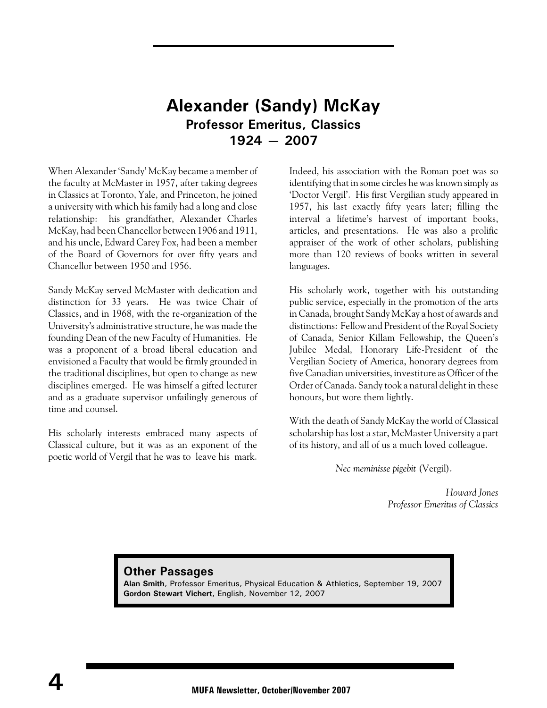#### **Alexander (Sandy) McKay Professor Emeritus, Classics 1924 — 2007**

When Alexander 'Sandy' McKay became a member of the faculty at McMaster in 1957, after taking degrees in Classics at Toronto, Yale, and Princeton, he joined a university with which his family had a long and close relationship: his grandfather, Alexander Charles McKay, had been Chancellor between 1906 and 1911, and his uncle, Edward Carey Fox, had been a member of the Board of Governors for over fifty years and Chancellor between 1950 and 1956.

Sandy McKay served McMaster with dedication and distinction for 33 years. He was twice Chair of Classics, and in 1968, with the re-organization of the University's administrative structure, he was made the founding Dean of the new Faculty of Humanities. He was a proponent of a broad liberal education and envisioned a Faculty that would be firmly grounded in the traditional disciplines, but open to change as new disciplines emerged. He was himself a gifted lecturer and as a graduate supervisor unfailingly generous of time and counsel.

His scholarly interests embraced many aspects of Classical culture, but it was as an exponent of the poetic world of Vergil that he was to leave his mark.

Indeed, his association with the Roman poet was so identifying that in some circles he was known simply as 'Doctor Vergil'. His first Vergilian study appeared in 1957, his last exactly fifty years later; filling the interval a lifetime's harvest of important books, articles, and presentations. He was also a prolific appraiser of the work of other scholars, publishing more than 120 reviews of books written in several languages.

His scholarly work, together with his outstanding public service, especially in the promotion of the arts in Canada, brought Sandy McKay a host of awards and distinctions: Fellow and President of the Royal Society of Canada, Senior Killam Fellowship, the Queen's Jubilee Medal, Honorary Life-President of the Vergilian Society of America, honorary degrees from five Canadian universities, investiture as Officer of the Order of Canada. Sandy took a natural delight in these honours, but wore them lightly.

With the death of Sandy McKay the world of Classical scholarship has lost a star, McMaster University a part of its history, and all of us a much loved colleague.

*Nec meminisse pigebit* (Vergil).

*Howard Jones Professor Emeritus of Classics*

**Other Passages Alan Smith**, Professor Emeritus, Physical Education & Athletics, September 19, 2007 **Gordon Stewart Vichert**, English, November 12, 2007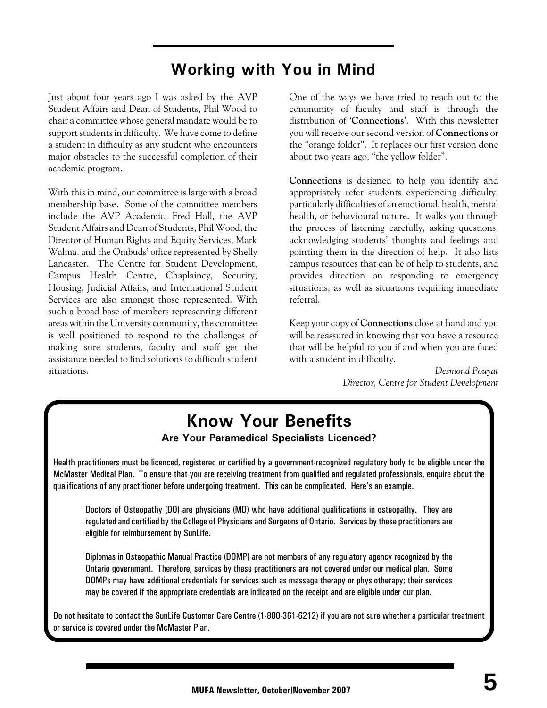### **Working with You in Mind**

Just about four years ago I was asked by the AVP Student Affairs and Dean of Students, Phil Wood to chair a committee whose general mandate would be to support students in difficulty. We have come to define a student in difficulty as any student who encounters major obstacles to the successful completion of their academic program.

With this in mind, our committee is large with a broad membership base. Some of the committee members include the AVP Academic, Fred Hall, the AVP Student Affairs and Dean of Students, Phil Wood, the Director of Human Rights and Equity Services, Mark Walma, and the Ombuds' office represented by Shelly Lancaster. The Centre for Student Development, Campus Health Centre, Chaplaincy, Security, Housing, Judicial Affairs, and International Student Services are also amongst those represented. With such a broad base of members representing different areas within the University community, the committee is well positioned to respond to the challenges of making sure students, faculty and staff get the assistance needed to find solutions to difficult student situations.

One of the ways we have tried to reach out to the community of faculty and staff is through the distribution of '**Connections**'. With this newsletter you will receive our second version of **Connections** or the "orange folder". It replaces our first version done about two years ago, "the yellow folder".

**Connections** is designed to help you identify and appropriately refer students experiencing difficulty, particularly difficulties of an emotional, health, mental health, or behavioural nature. It walks you through the process of listening carefully, asking questions, acknowledging students' thoughts and feelings and pointing them in the direction of help. It also lists campus resources that can be of help to students, and provides direction on responding to emergency situations, as well as situations requiring immediate referral.

Keep your copy of **Connections** close at hand and you will be reassured in knowing that you have a resource that will be helpful to you if and when you are faced with a student in difficulty.

> *Desmond Pouyat Director, Centre for Student Development*

## **Know Your Benefits**

#### **Are Your Paramedical Specialists Licenced?**

Health practitioners must be licenced, registered or certified by a government-recognized regulatory body to be eligible under the McMaster Medical Plan. To ensure that you are receiving treatment from qualified and regulated professionals, enquire about the qualifications of any practitioner before undergoing treatment. This can be complicated. Here's an example.

Doctors of Osteopathy (DO) are physicians (MD) who have additional qualifications in osteopathy. They are regulated and certified by the College of Physicians and Surgeons of Ontario. Services by these practitioners are eligible for reimbursement by SunLife.

Diplomas in Osteopathic Manual Practice (DOMP) are not members of any regulatory agency recognized by the Ontario government. Therefore, services by these practitioners are not covered under our medical plan. Some DOMPs may have additional credentials for services such as massage therapy or physiotherapy; their services may be covered if the appropriate credentials are indicated on the receipt and are eligible under our plan.

Do not hesitate to contact the SunLife Customer Care Centre (1-800-361-6212) if you are not sure whether a particular treatment or service is covered under the McMaster Plan.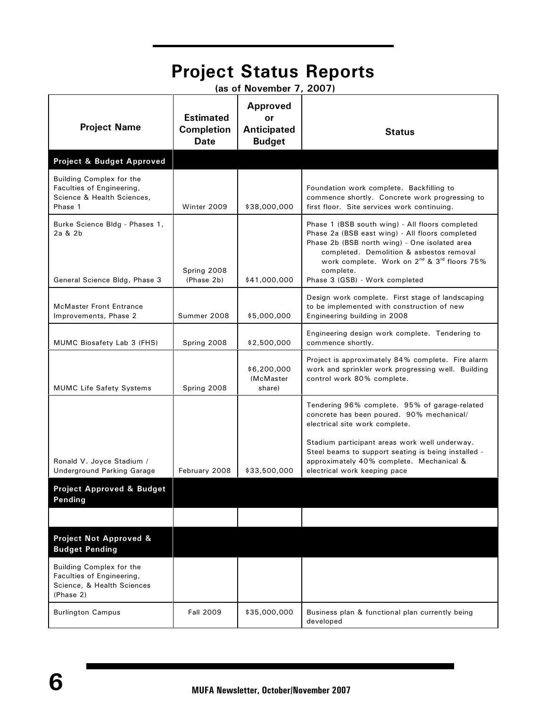|                                                                                                  |                                                      |                                                              | <b>Project Status Reports</b>                                                                                                                                                                                                                                                                                         |  |  |
|--------------------------------------------------------------------------------------------------|------------------------------------------------------|--------------------------------------------------------------|-----------------------------------------------------------------------------------------------------------------------------------------------------------------------------------------------------------------------------------------------------------------------------------------------------------------------|--|--|
| (as of November 7, 2007)                                                                         |                                                      |                                                              |                                                                                                                                                                                                                                                                                                                       |  |  |
| <b>Project Name</b>                                                                              | <b>Estimated</b><br><b>Completion</b><br><b>Date</b> | <b>Approved</b><br>or<br><b>Anticipated</b><br><b>Budget</b> | <b>Status</b>                                                                                                                                                                                                                                                                                                         |  |  |
| Project & Budget Approved                                                                        |                                                      |                                                              |                                                                                                                                                                                                                                                                                                                       |  |  |
| Building Complex for the<br>Faculties of Engineering,<br>Science & Health Sciences,<br>Phase 1   | Winter 2009                                          | \$38,000,000                                                 | Foundation work complete. Backfilling to<br>commence shortly. Concrete work progressing to<br>first floor. Site services work continuing.                                                                                                                                                                             |  |  |
| Burke Science Bldg - Phases 1,<br>2a & 2b<br>General Science Bldg, Phase 3                       | Spring 2008<br>(Phase 2b)                            | \$41,000,000                                                 | Phase 1 (BSB south wing) - All floors completed<br>Phase 2a (BSB east wing) - All floors completed<br>Phase 2b (BSB north wing) - One isolated area<br>completed. Demolition & asbestos removal<br>work complete. Work on 2 <sup>nd</sup> & 3 <sup>rd</sup> floors 75%<br>complete.<br>Phase 3 (GSB) - Work completed |  |  |
| <b>McMaster Front Entrance</b><br>Improvements, Phase 2                                          | Summer 2008                                          | \$5,000,000                                                  | Design work complete. First stage of landscaping<br>to be implemented with construction of new<br>Engineering building in 2008                                                                                                                                                                                        |  |  |
| MUMC Biosafety Lab 3 (FHS)                                                                       | Spring 2008                                          | \$2,500,000                                                  | Engineering design work complete. Tendering to<br>commence shortly.                                                                                                                                                                                                                                                   |  |  |
| <b>MUMC Life Safety Systems</b>                                                                  | Spring 2008                                          | \$6,200,000<br>(McMaster)<br>share)                          | Project is approximately 84% complete. Fire alarm<br>work and sprinkler work progressing well. Building<br>control work 80% complete.                                                                                                                                                                                 |  |  |
|                                                                                                  |                                                      |                                                              | Tendering 96% complete. 95% of garage-related<br>concrete has been poured. 90% mechanical/<br>electrical site work complete.                                                                                                                                                                                          |  |  |
| Ronald V. Joyce Stadium /<br><b>Underground Parking Garage</b>                                   | February 2008                                        | \$33,500,000                                                 | Stadium participant areas work well underway.<br>Steel beams to support seating is being installed -<br>approximately 40% complete. Mechanical &<br>electrical work keeping pace                                                                                                                                      |  |  |
| <b>Project Approved &amp; Budget</b><br>Pending                                                  |                                                      |                                                              |                                                                                                                                                                                                                                                                                                                       |  |  |
|                                                                                                  |                                                      |                                                              |                                                                                                                                                                                                                                                                                                                       |  |  |
| Project Not Approved &<br><b>Budget Pending</b>                                                  |                                                      |                                                              |                                                                                                                                                                                                                                                                                                                       |  |  |
| Building Complex for the<br>Faculties of Engineering,<br>Science, & Health Sciences<br>(Phase 2) |                                                      |                                                              |                                                                                                                                                                                                                                                                                                                       |  |  |
| <b>Burlington Campus</b>                                                                         | <b>Fall 2009</b>                                     | \$35,000,000                                                 | Business plan & functional plan currently being<br>developed                                                                                                                                                                                                                                                          |  |  |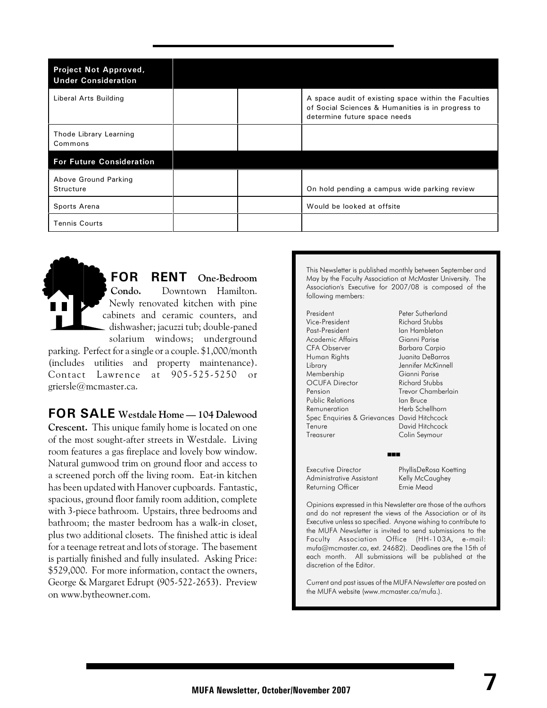| <b>Project Not Approved,</b><br><b>Under Consideration</b> |  |                                                                                                                                           |
|------------------------------------------------------------|--|-------------------------------------------------------------------------------------------------------------------------------------------|
| Liberal Arts Building                                      |  | A space audit of existing space within the Faculties<br>of Social Sciences & Humanities is in progress to<br>determine future space needs |
| Thode Library Learning<br>Commons                          |  |                                                                                                                                           |
| <b>For Future Consideration</b>                            |  |                                                                                                                                           |
| Above Ground Parking<br>Structure                          |  | On hold pending a campus wide parking review                                                                                              |
| Sports Arena                                               |  | Would be looked at offsite                                                                                                                |
| <b>Tennis Courts</b>                                       |  |                                                                                                                                           |

**FOR RENT One-Bedroom Condo.** Downtown Hamilton. Newly renovated kitchen with pine cabinets and ceramic counters, and dishwasher; jacuzzi tub; double-paned solarium windows; underground parking. Perfect for a single or a couple. \$1,000/month (includes utilities and property maintenance). Contact Lawrence at 905-525-5250 or

griersle@mcmaster.ca.

**FOR SALE Westdale Home — 104 Dalewood Crescent.** This unique family home is located on one of the most sought-after streets in Westdale. Living room features a gas fireplace and lovely bow window. Natural gumwood trim on ground floor and access to a screened porch off the living room. Eat-in kitchen has been updated with Hanover cupboards. Fantastic, spacious, ground floor family room addition, complete with 3-piece bathroom. Upstairs, three bedrooms and bathroom; the master bedroom has a walk-in closet, plus two additional closets. The finished attic is ideal for a teenage retreat and lots of storage. The basement is partially finished and fully insulated. Asking Price: \$529,000. For more information, contact the owners, George & Margaret Edrupt (905-522-2653). Preview on www.bytheowner.com.

This Newsletter is published monthly between September and May by the Faculty Association at McMaster University. The Association's Executive for 2007/08 is composed of the following members:

President Peter Sutherland<br>Vice-President Richard Stubbs Past-President Ian Hambleton Academic Affairs Gianni Parise Human Rights Juanita DeBarros Library Jennifer McKinnell Membership Gianni Parise<br>
OCUFA Director Richard Stubbs **OCUFA Director** Pension Trevor Chamberlain Public Relations Ian Bruce Remuneration Herb Schellhorn Spec Enquiries & Grievances David Hitchcock Tenure David Hitchcock<br>Treasurer Colin Sevmour

Richard Stubbs Barbara Carpio Colin Seymour

 $\blacksquare$ 

Administrative Assistant Kelly McCaughey Returning Officer

Executive Director PhyllisDeRosa Koetting

Opinions expressed in this Newsletter are those of the authors and do not represent the views of the Association or of its Executive unless so specified. Anyone wishing to contribute to the MUFA *Newsletter* is invited to send submissions to the Faculty Association Office (HH-103A, e-mail: mufa@mcmaster.ca, ext. 24682). Deadlines are the 15th of each month. All submissions will be published at the discretion of the Editor.

Current and past issues of the MUFA *Newsletter* are posted on the MUFA website (www.mcmaster.ca/mufa.).